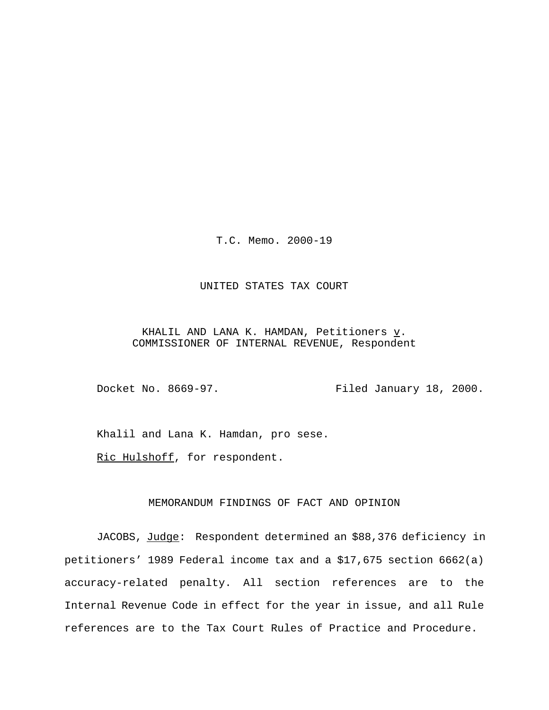T.C. Memo. 2000-19

# UNITED STATES TAX COURT

KHALIL AND LANA K. HAMDAN, Petitioners  $\underline{v}$ . COMMISSIONER OF INTERNAL REVENUE, Respondent

Docket No. 8669-97. Filed January 18, 2000.

Khalil and Lana K. Hamdan, pro sese.

Ric Hulshoff, for respondent.

# MEMORANDUM FINDINGS OF FACT AND OPINION

JACOBS, Judge: Respondent determined an \$88,376 deficiency in petitioners' 1989 Federal income tax and a \$17,675 section 6662(a) accuracy-related penalty. All section references are to the Internal Revenue Code in effect for the year in issue, and all Rule references are to the Tax Court Rules of Practice and Procedure.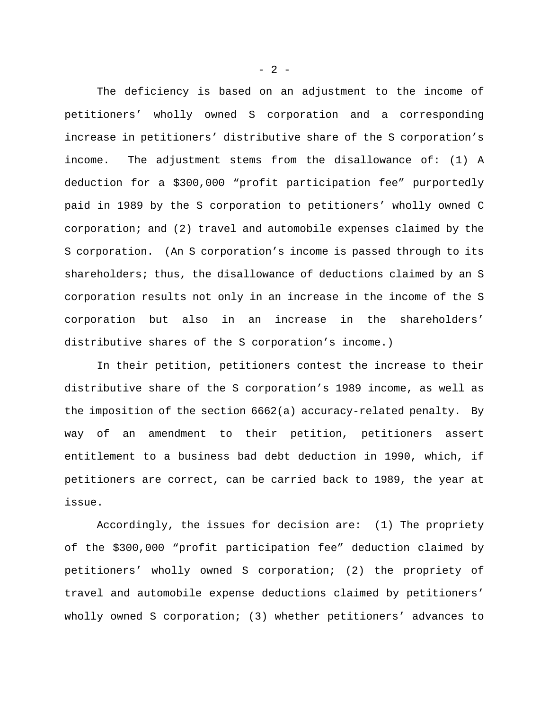The deficiency is based on an adjustment to the income of petitioners' wholly owned S corporation and a corresponding increase in petitioners' distributive share of the S corporation's income. The adjustment stems from the disallowance of: (1) A deduction for a \$300,000 "profit participation fee" purportedly paid in 1989 by the S corporation to petitioners' wholly owned C corporation; and (2) travel and automobile expenses claimed by the S corporation. (An S corporation's income is passed through to its shareholders; thus, the disallowance of deductions claimed by an S corporation results not only in an increase in the income of the S corporation but also in an increase in the shareholders' distributive shares of the S corporation's income.)

In their petition, petitioners contest the increase to their distributive share of the S corporation's 1989 income, as well as the imposition of the section 6662(a) accuracy-related penalty. By way of an amendment to their petition, petitioners assert entitlement to a business bad debt deduction in 1990, which, if petitioners are correct, can be carried back to 1989, the year at issue.

Accordingly, the issues for decision are: (1) The propriety of the \$300,000 "profit participation fee" deduction claimed by petitioners' wholly owned S corporation; (2) the propriety of travel and automobile expense deductions claimed by petitioners' wholly owned S corporation; (3) whether petitioners' advances to

 $- 2 -$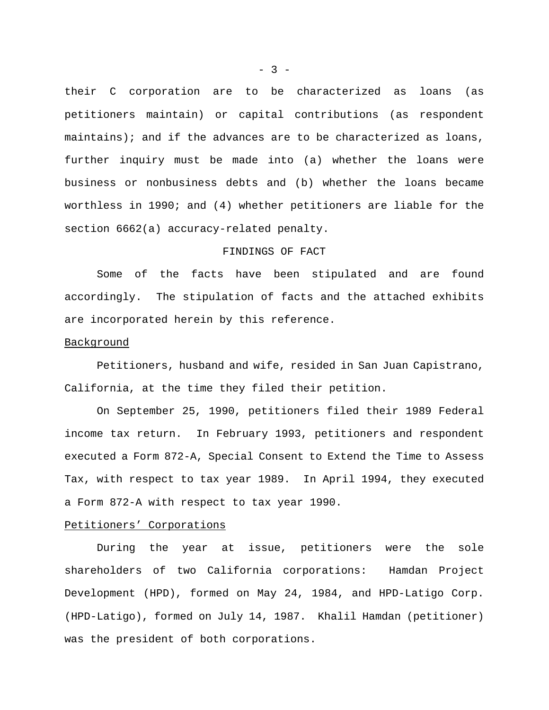their C corporation are to be characterized as loans (as petitioners maintain) or capital contributions (as respondent maintains); and if the advances are to be characterized as loans, further inquiry must be made into (a) whether the loans were business or nonbusiness debts and (b) whether the loans became worthless in 1990; and (4) whether petitioners are liable for the section 6662(a) accuracy-related penalty.

# FINDINGS OF FACT

Some of the facts have been stipulated and are found accordingly. The stipulation of facts and the attached exhibits are incorporated herein by this reference.

### Background

Petitioners, husband and wife, resided in San Juan Capistrano, California, at the time they filed their petition.

On September 25, 1990, petitioners filed their 1989 Federal income tax return. In February 1993, petitioners and respondent executed a Form 872-A, Special Consent to Extend the Time to Assess Tax, with respect to tax year 1989. In April 1994, they executed a Form 872-A with respect to tax year 1990.

### Petitioners' Corporations

During the year at issue, petitioners were the sole shareholders of two California corporations: Hamdan Project Development (HPD), formed on May 24, 1984, and HPD-Latigo Corp. (HPD-Latigo), formed on July 14, 1987. Khalil Hamdan (petitioner) was the president of both corporations.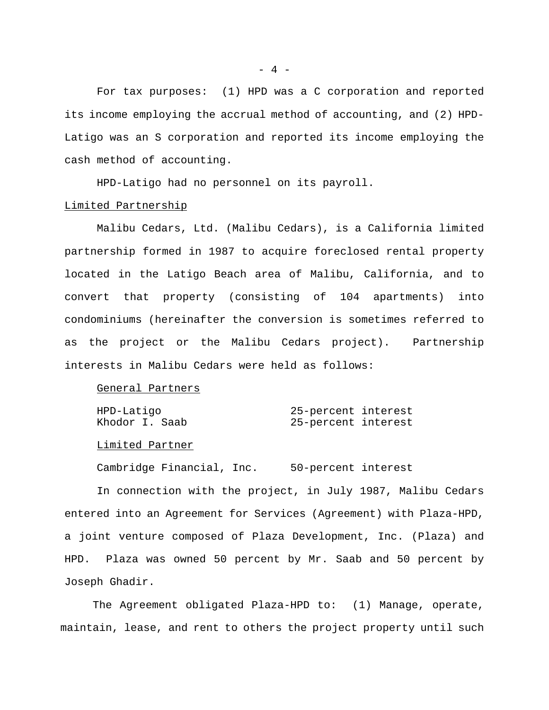For tax purposes: (1) HPD was a C corporation and reported its income employing the accrual method of accounting, and (2) HPD-Latigo was an S corporation and reported its income employing the cash method of accounting.

HPD-Latigo had no personnel on its payroll.

## Limited Partnership

Malibu Cedars, Ltd. (Malibu Cedars), is a California limited partnership formed in 1987 to acquire foreclosed rental property located in the Latigo Beach area of Malibu, California, and to convert that property (consisting of 104 apartments) into condominiums (hereinafter the conversion is sometimes referred to as the project or the Malibu Cedars project). Partnership interests in Malibu Cedars were held as follows:

#### General Partners

| HPD-Latiqo     | 25-percent interest |  |
|----------------|---------------------|--|
| Khodor I. Saab | 25-percent interest |  |

### Limited Partner

Cambridge Financial, Inc. 50-percent interest

In connection with the project, in July 1987, Malibu Cedars entered into an Agreement for Services (Agreement) with Plaza-HPD, a joint venture composed of Plaza Development, Inc. (Plaza) and HPD. Plaza was owned 50 percent by Mr. Saab and 50 percent by Joseph Ghadir.

The Agreement obligated Plaza-HPD to: (1) Manage, operate, maintain, lease, and rent to others the project property until such

 $- 4 -$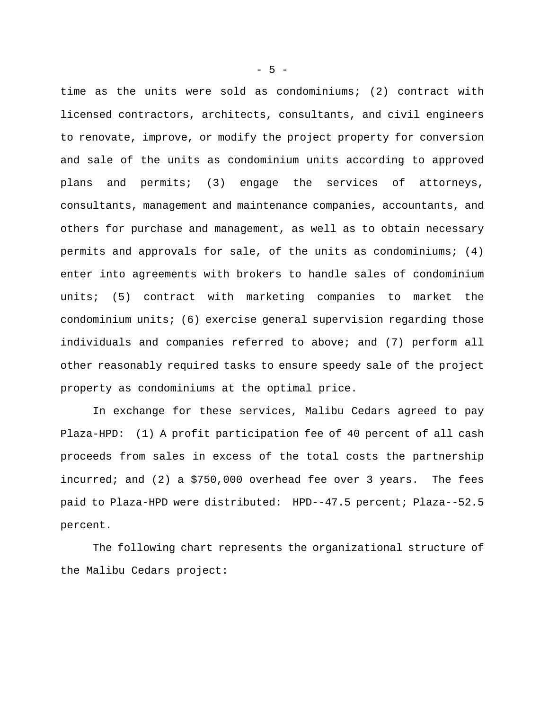time as the units were sold as condominiums; (2) contract with licensed contractors, architects, consultants, and civil engineers to renovate, improve, or modify the project property for conversion and sale of the units as condominium units according to approved plans and permits; (3) engage the services of attorneys, consultants, management and maintenance companies, accountants, and others for purchase and management, as well as to obtain necessary permits and approvals for sale, of the units as condominiums; (4) enter into agreements with brokers to handle sales of condominium units; (5) contract with marketing companies to market the condominium units; (6) exercise general supervision regarding those individuals and companies referred to above; and (7) perform all other reasonably required tasks to ensure speedy sale of the project property as condominiums at the optimal price.

In exchange for these services, Malibu Cedars agreed to pay Plaza-HPD: (1) A profit participation fee of 40 percent of all cash proceeds from sales in excess of the total costs the partnership incurred; and (2) a \$750,000 overhead fee over 3 years. The fees paid to Plaza-HPD were distributed: HPD--47.5 percent; Plaza--52.5 percent.

The following chart represents the organizational structure of the Malibu Cedars project:

 $-5 -$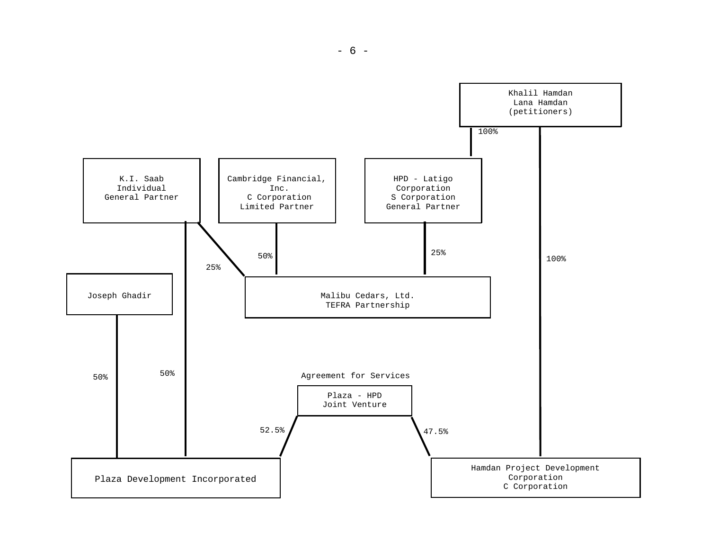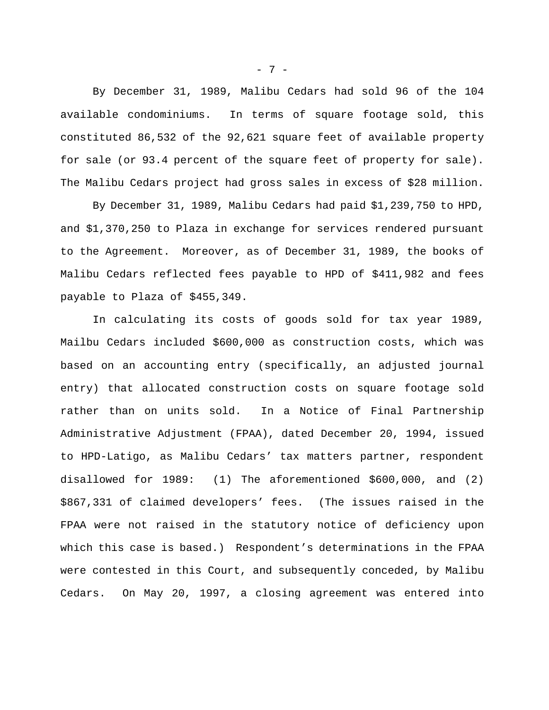By December 31, 1989, Malibu Cedars had sold 96 of the 104 available condominiums. In terms of square footage sold, this constituted 86,532 of the 92,621 square feet of available property for sale (or 93.4 percent of the square feet of property for sale). The Malibu Cedars project had gross sales in excess of \$28 million.

By December 31, 1989, Malibu Cedars had paid \$1,239,750 to HPD, and \$1,370,250 to Plaza in exchange for services rendered pursuant to the Agreement. Moreover, as of December 31, 1989, the books of Malibu Cedars reflected fees payable to HPD of \$411,982 and fees payable to Plaza of \$455,349.

In calculating its costs of goods sold for tax year 1989, Mailbu Cedars included \$600,000 as construction costs, which was based on an accounting entry (specifically, an adjusted journal entry) that allocated construction costs on square footage sold rather than on units sold. In a Notice of Final Partnership Administrative Adjustment (FPAA), dated December 20, 1994, issued to HPD-Latigo, as Malibu Cedars' tax matters partner, respondent disallowed for 1989: (1) The aforementioned \$600,000, and (2) \$867,331 of claimed developers' fees. (The issues raised in the FPAA were not raised in the statutory notice of deficiency upon which this case is based.) Respondent's determinations in the FPAA were contested in this Court, and subsequently conceded, by Malibu Cedars. On May 20, 1997, a closing agreement was entered into

- 7 -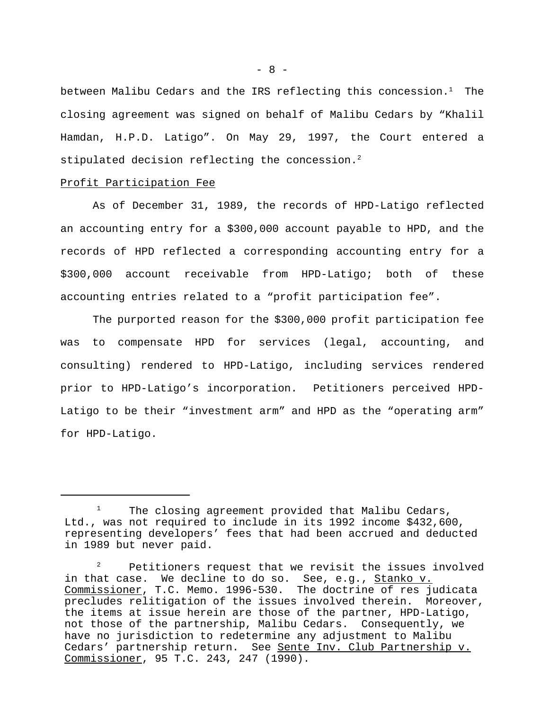between Malibu Cedars and the IRS reflecting this concession. $<sup>1</sup>$  The</sup> closing agreement was signed on behalf of Malibu Cedars by "Khalil Hamdan, H.P.D. Latigo". On May 29, 1997, the Court entered a stipulated decision reflecting the concession.<sup>2</sup>

## Profit Participation Fee

As of December 31, 1989, the records of HPD-Latigo reflected an accounting entry for a \$300,000 account payable to HPD, and the records of HPD reflected a corresponding accounting entry for a \$300,000 account receivable from HPD-Latigo; both of these accounting entries related to a "profit participation fee".

The purported reason for the \$300,000 profit participation fee was to compensate HPD for services (legal, accounting, and consulting) rendered to HPD-Latigo, including services rendered prior to HPD-Latigo's incorporation. Petitioners perceived HPD-Latigo to be their "investment arm" and HPD as the "operating arm" for HPD-Latigo.

 $- 8 -$ 

The closing agreement provided that Malibu Cedars, Ltd., was not required to include in its 1992 income \$432,600, representing developers' fees that had been accrued and deducted in 1989 but never paid.

 $2^2$  Petitioners request that we revisit the issues involved in that case. We decline to do so. See, e.g., Stanko v. Commissioner, T.C. Memo. 1996-530. The doctrine of res judicata precludes relitigation of the issues involved therein. Moreover, the items at issue herein are those of the partner, HPD-Latigo, not those of the partnership, Malibu Cedars. Consequently, we have no jurisdiction to redetermine any adjustment to Malibu Cedars' partnership return. See Sente Inv. Club Partnership v. Commissioner, 95 T.C. 243, 247 (1990).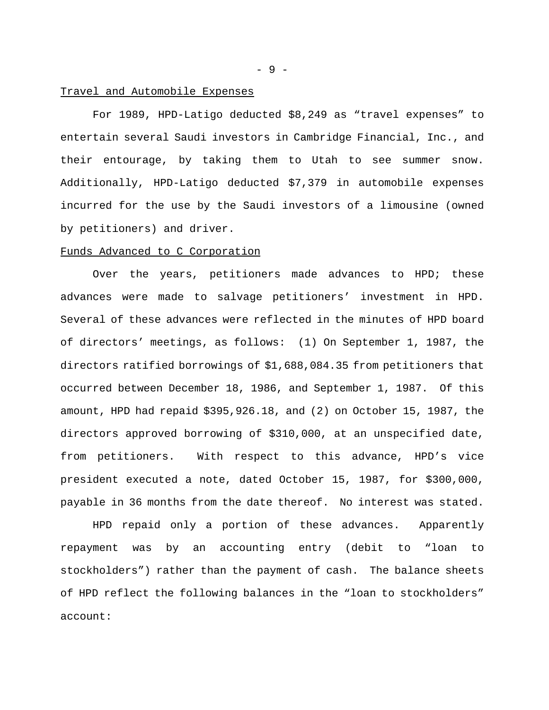## Travel and Automobile Expenses

For 1989, HPD-Latigo deducted \$8,249 as "travel expenses" to entertain several Saudi investors in Cambridge Financial, Inc., and their entourage, by taking them to Utah to see summer snow. Additionally, HPD-Latigo deducted \$7,379 in automobile expenses incurred for the use by the Saudi investors of a limousine (owned by petitioners) and driver.

## Funds Advanced to C Corporation

Over the years, petitioners made advances to HPD; these advances were made to salvage petitioners' investment in HPD. Several of these advances were reflected in the minutes of HPD board of directors' meetings, as follows: (1) On September 1, 1987, the directors ratified borrowings of \$1,688,084.35 from petitioners that occurred between December 18, 1986, and September 1, 1987. Of this amount, HPD had repaid \$395,926.18, and (2) on October 15, 1987, the directors approved borrowing of \$310,000, at an unspecified date, from petitioners. With respect to this advance, HPD's vice president executed a note, dated October 15, 1987, for \$300,000, payable in 36 months from the date thereof. No interest was stated.

HPD repaid only a portion of these advances. Apparently repayment was by an accounting entry (debit to "loan to stockholders") rather than the payment of cash. The balance sheets of HPD reflect the following balances in the "loan to stockholders" account:

- 9 -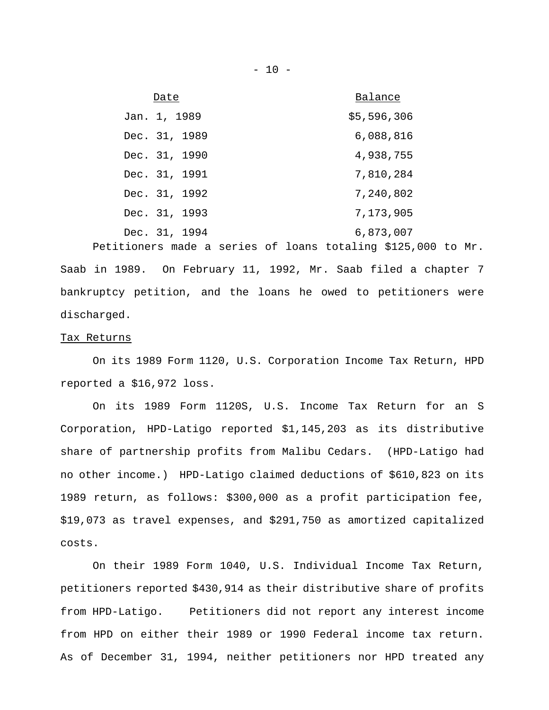| Date          | Balance     |
|---------------|-------------|
| Jan. 1, 1989  | \$5,596,306 |
| Dec. 31, 1989 | 6,088,816   |
| Dec. 31, 1990 | 4,938,755   |
| Dec. 31, 1991 | 7,810,284   |
| Dec. 31, 1992 | 7,240,802   |
| Dec. 31, 1993 | 7,173,905   |
| Dec. 31, 1994 | 6,873,007   |

Petitioners made a series of loans totaling \$125,000 to Mr. Saab in 1989. On February 11, 1992, Mr. Saab filed a chapter 7 bankruptcy petition, and the loans he owed to petitioners were discharged.

#### Tax Returns

On its 1989 Form 1120, U.S. Corporation Income Tax Return, HPD reported a \$16,972 loss.

On its 1989 Form 1120S, U.S. Income Tax Return for an S Corporation, HPD-Latigo reported \$1,145,203 as its distributive share of partnership profits from Malibu Cedars. (HPD-Latigo had no other income.) HPD-Latigo claimed deductions of \$610,823 on its 1989 return, as follows: \$300,000 as a profit participation fee, \$19,073 as travel expenses, and \$291,750 as amortized capitalized costs.

On their 1989 Form 1040, U.S. Individual Income Tax Return, petitioners reported \$430,914 as their distributive share of profits from HPD-Latigo. Petitioners did not report any interest income from HPD on either their 1989 or 1990 Federal income tax return. As of December 31, 1994, neither petitioners nor HPD treated any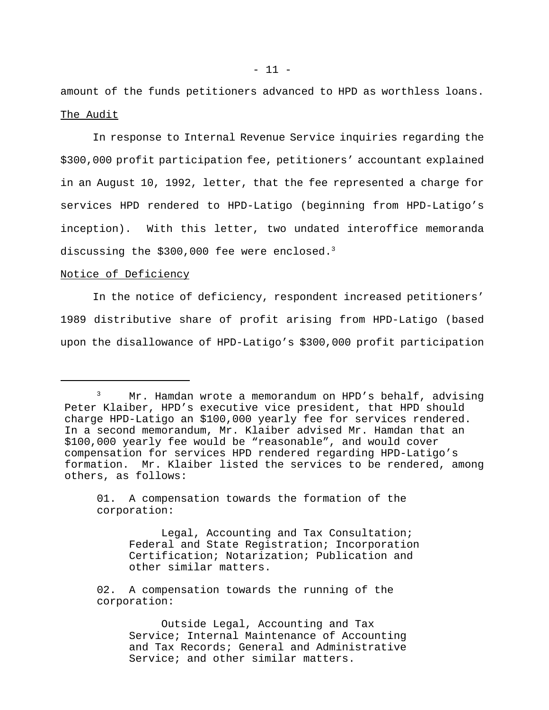amount of the funds petitioners advanced to HPD as worthless loans. The Audit

In response to Internal Revenue Service inquiries regarding the \$300,000 profit participation fee, petitioners' accountant explained in an August 10, 1992, letter, that the fee represented a charge for services HPD rendered to HPD-Latigo (beginning from HPD-Latigo's inception). With this letter, two undated interoffice memoranda discussing the \$300,000 fee were enclosed.<sup>3</sup>

# Notice of Deficiency

In the notice of deficiency, respondent increased petitioners' 1989 distributive share of profit arising from HPD-Latigo (based upon the disallowance of HPD-Latigo's \$300,000 profit participation

<sup>&</sup>lt;sup>3</sup> Mr. Hamdan wrote a memorandum on HPD's behalf, advising Peter Klaiber, HPD's executive vice president, that HPD should charge HPD-Latigo an \$100,000 yearly fee for services rendered. In a second memorandum, Mr. Klaiber advised Mr. Hamdan that an \$100,000 yearly fee would be "reasonable", and would cover compensation for services HPD rendered regarding HPD-Latigo's formation. Mr. Klaiber listed the services to be rendered, among others, as follows:

<sup>01.</sup> A compensation towards the formation of the corporation:

Legal, Accounting and Tax Consultation; Federal and State Registration; Incorporation Certification; Notarization; Publication and other similar matters.

<sup>02.</sup> A compensation towards the running of the corporation:

Outside Legal, Accounting and Tax Service; Internal Maintenance of Accounting and Tax Records; General and Administrative Service; and other similar matters.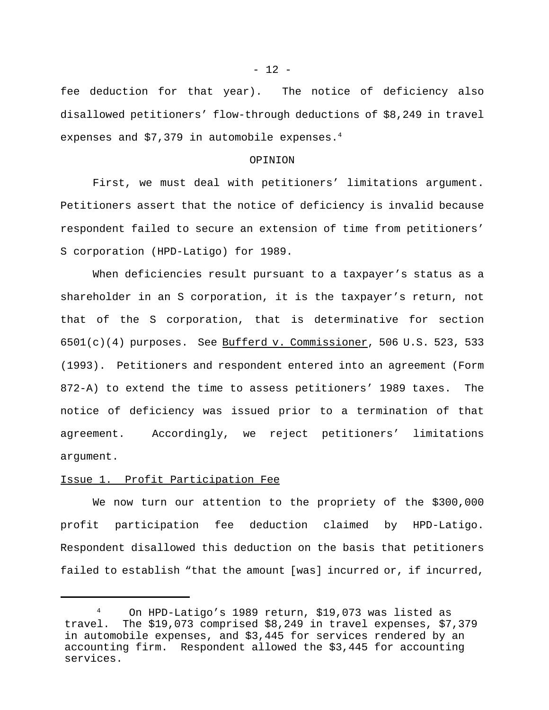fee deduction for that year). The notice of deficiency also disallowed petitioners' flow-through deductions of \$8,249 in travel expenses and  $$7,379$  in automobile expenses.<sup>4</sup>

### OPINION

First, we must deal with petitioners' limitations argument. Petitioners assert that the notice of deficiency is invalid because respondent failed to secure an extension of time from petitioners' S corporation (HPD-Latigo) for 1989.

When deficiencies result pursuant to a taxpayer's status as a shareholder in an S corporation, it is the taxpayer's return, not that of the S corporation, that is determinative for section 6501(c)(4) purposes. See Bufferd v. Commissioner, 506 U.S. 523, 533 (1993). Petitioners and respondent entered into an agreement (Form 872-A) to extend the time to assess petitioners' 1989 taxes. The notice of deficiency was issued prior to a termination of that agreement. Accordingly, we reject petitioners' limitations argument.

# Issue 1. Profit Participation Fee

We now turn our attention to the propriety of the \$300,000 profit participation fee deduction claimed by HPD-Latigo. Respondent disallowed this deduction on the basis that petitioners failed to establish "that the amount [was] incurred or, if incurred,

 $- 12 -$ 

<sup>4</sup> On HPD-Latigo's 1989 return, \$19,073 was listed as travel. The \$19,073 comprised \$8,249 in travel expenses, \$7,379 in automobile expenses, and \$3,445 for services rendered by an accounting firm. Respondent allowed the \$3,445 for accounting services.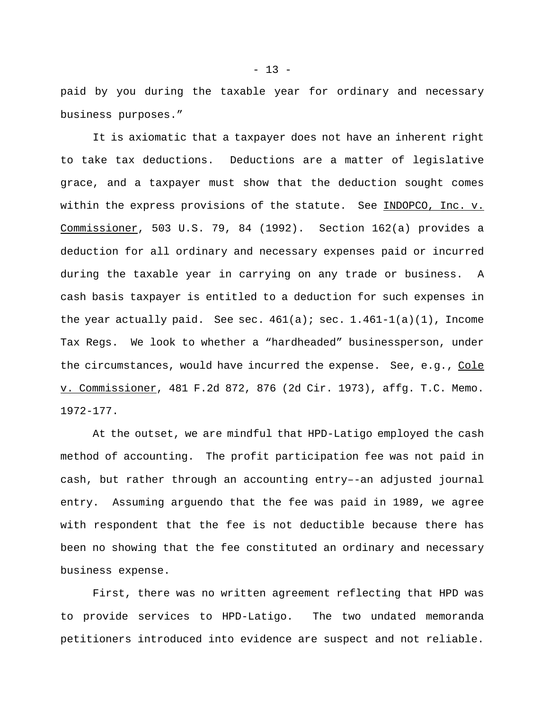paid by you during the taxable year for ordinary and necessary business purposes."

It is axiomatic that a taxpayer does not have an inherent right to take tax deductions. Deductions are a matter of legislative grace, and a taxpayer must show that the deduction sought comes within the express provisions of the statute. See INDOPCO, Inc. v. Commissioner, 503 U.S. 79, 84 (1992). Section 162(a) provides a deduction for all ordinary and necessary expenses paid or incurred during the taxable year in carrying on any trade or business. A cash basis taxpayer is entitled to a deduction for such expenses in the year actually paid. See sec.  $461(a)$ ; sec.  $1.461-1(a)(1)$ , Income Tax Regs. We look to whether a "hardheaded" businessperson, under the circumstances, would have incurred the expense. See, e.g., Cole v. Commissioner, 481 F.2d 872, 876 (2d Cir. 1973), affg. T.C. Memo. 1972-177.

At the outset, we are mindful that HPD-Latigo employed the cash method of accounting. The profit participation fee was not paid in cash, but rather through an accounting entry–-an adjusted journal entry. Assuming arguendo that the fee was paid in 1989, we agree with respondent that the fee is not deductible because there has been no showing that the fee constituted an ordinary and necessary business expense.

First, there was no written agreement reflecting that HPD was to provide services to HPD-Latigo. The two undated memoranda petitioners introduced into evidence are suspect and not reliable.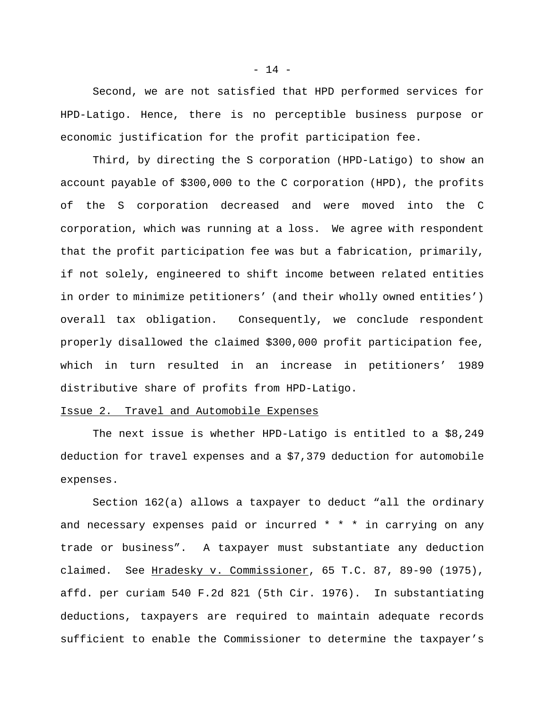Second, we are not satisfied that HPD performed services for HPD-Latigo. Hence, there is no perceptible business purpose or economic justification for the profit participation fee.

Third, by directing the S corporation (HPD-Latigo) to show an account payable of \$300,000 to the C corporation (HPD), the profits of the S corporation decreased and were moved into the C corporation, which was running at a loss. We agree with respondent that the profit participation fee was but a fabrication, primarily, if not solely, engineered to shift income between related entities in order to minimize petitioners' (and their wholly owned entities') overall tax obligation. Consequently, we conclude respondent properly disallowed the claimed \$300,000 profit participation fee, which in turn resulted in an increase in petitioners' 1989 distributive share of profits from HPD-Latigo.

# Issue 2. Travel and Automobile Expenses

The next issue is whether HPD-Latigo is entitled to a \$8,249 deduction for travel expenses and a \$7,379 deduction for automobile expenses.

Section 162(a) allows a taxpayer to deduct "all the ordinary and necessary expenses paid or incurred \* \* \* in carrying on any trade or business". A taxpayer must substantiate any deduction claimed. See Hradesky v. Commissioner, 65 T.C. 87, 89-90 (1975), affd. per curiam 540 F.2d 821 (5th Cir. 1976). In substantiating deductions, taxpayers are required to maintain adequate records sufficient to enable the Commissioner to determine the taxpayer's

 $- 14 -$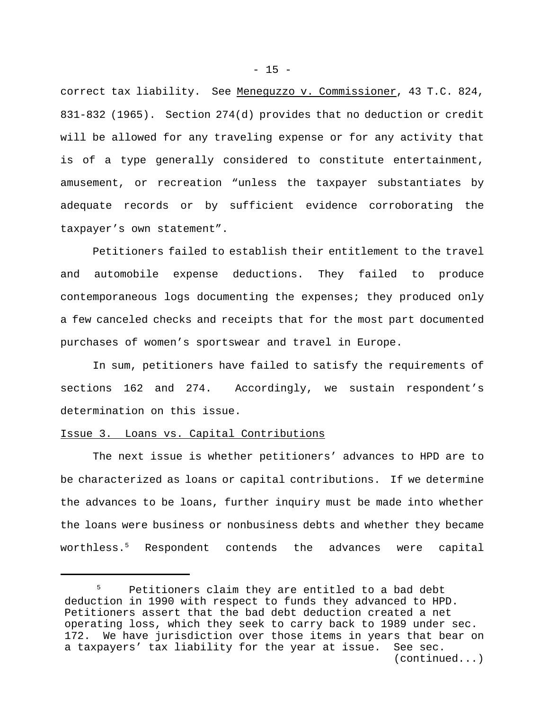correct tax liability. See Meneguzzo v. Commissioner, 43 T.C. 824, 831-832 (1965). Section 274(d) provides that no deduction or credit will be allowed for any traveling expense or for any activity that is of a type generally considered to constitute entertainment, amusement, or recreation "unless the taxpayer substantiates by adequate records or by sufficient evidence corroborating the taxpayer's own statement".

Petitioners failed to establish their entitlement to the travel and automobile expense deductions. They failed to produce contemporaneous logs documenting the expenses; they produced only a few canceled checks and receipts that for the most part documented purchases of women's sportswear and travel in Europe.

In sum, petitioners have failed to satisfy the requirements of sections 162 and 274. Accordingly, we sustain respondent's determination on this issue.

# Issue 3. Loans vs. Capital Contributions

The next issue is whether petitioners' advances to HPD are to be characterized as loans or capital contributions. If we determine the advances to be loans, further inquiry must be made into whether the loans were business or nonbusiness debts and whether they became worthless.5 Respondent contends the advances were capital

Petitioners claim they are entitled to a bad debt deduction in 1990 with respect to funds they advanced to HPD. Petitioners assert that the bad debt deduction created a net operating loss, which they seek to carry back to 1989 under sec.<br>172. We have jurisdiction over those items in years that bear o We have jurisdiction over those items in years that bear on a taxpayers' tax liability for the year at issue. See sec. (continued...)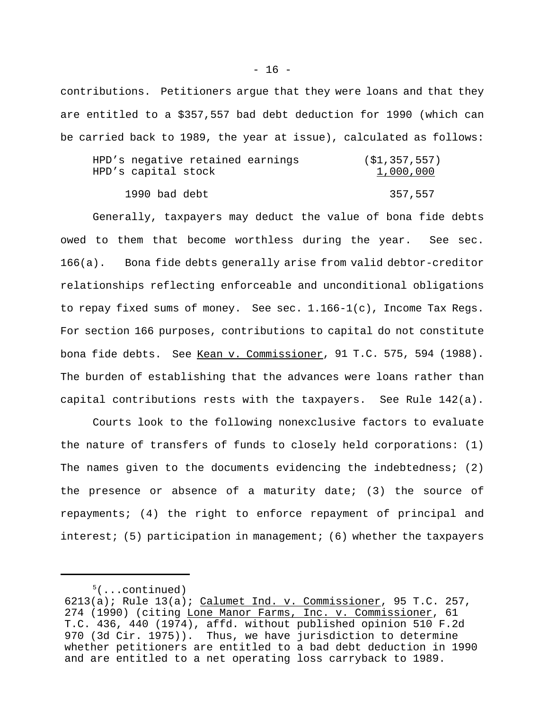contributions. Petitioners argue that they were loans and that they are entitled to a \$357,557 bad debt deduction for 1990 (which can be carried back to 1989, the year at issue), calculated as follows:

| HPD's negative retained earnings | (S1, 357, 557) |
|----------------------------------|----------------|
| HPD's capital stock              | 1,000,000      |
|                                  |                |
| 1990 bad debt                    | 357,557        |

Generally, taxpayers may deduct the value of bona fide debts owed to them that become worthless during the year. See sec. 166(a). Bona fide debts generally arise from valid debtor-creditor relationships reflecting enforceable and unconditional obligations to repay fixed sums of money. See sec. 1.166-1(c), Income Tax Regs. For section 166 purposes, contributions to capital do not constitute bona fide debts. See Kean v. Commissioner, 91 T.C. 575, 594 (1988). The burden of establishing that the advances were loans rather than capital contributions rests with the taxpayers. See Rule 142(a).

Courts look to the following nonexclusive factors to evaluate the nature of transfers of funds to closely held corporations: (1) The names given to the documents evidencing the indebtedness; (2) the presence or absence of a maturity date; (3) the source of repayments; (4) the right to enforce repayment of principal and interest; (5) participation in management; (6) whether the taxpayers

 $5($ ...continued)

 $6213(a)$ ; Rule  $13(a)$ ; Calumet Ind. v. Commissioner, 95 T.C. 257, 274 (1990) (citing Lone Manor Farms, Inc. v. Commissioner, 61 T.C. 436, 440 (1974), affd. without published opinion 510 F.2d 970 (3d Cir. 1975)). Thus, we have jurisdiction to determine whether petitioners are entitled to a bad debt deduction in 1990 and are entitled to a net operating loss carryback to 1989.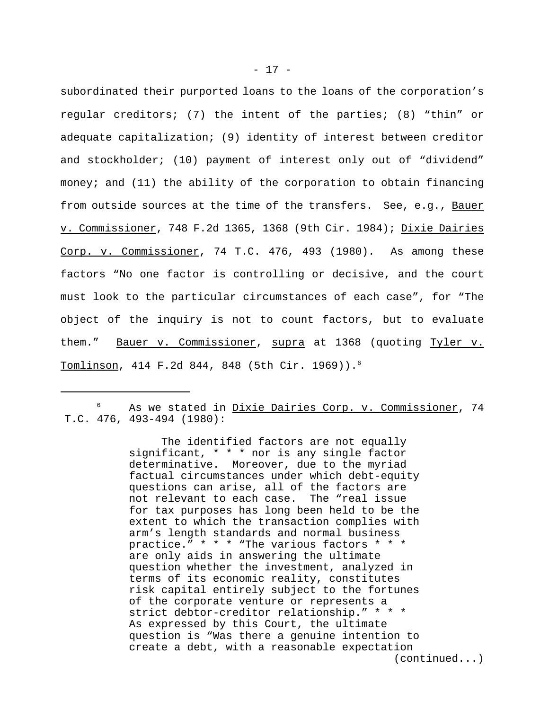subordinated their purported loans to the loans of the corporation's regular creditors; (7) the intent of the parties; (8) "thin" or adequate capitalization; (9) identity of interest between creditor and stockholder; (10) payment of interest only out of "dividend" money; and (11) the ability of the corporation to obtain financing from outside sources at the time of the transfers. See, e.g., Bauer v. Commissioner, 748 F.2d 1365, 1368 (9th Cir. 1984); Dixie Dairies Corp. v. Commissioner, 74 T.C. 476, 493 (1980). As among these factors "No one factor is controlling or decisive, and the court must look to the particular circumstances of each case", for "The object of the inquiry is not to count factors, but to evaluate them." Bauer v. Commissioner, supra at 1368 (quoting Tyler v. Tomlinson, 414 F.2d 844, 848 (5th Cir. 1969)).6

 $6$  As we stated in Dixie Dairies Corp. v. Commissioner, 74 T.C. 476, 493-494 (1980):

> The identified factors are not equally significant, \* \* \* nor is any single factor determinative. Moreover, due to the myriad factual circumstances under which debt-equity questions can arise, all of the factors are not relevant to each case. The "real issue for tax purposes has long been held to be the extent to which the transaction complies with arm's length standards and normal business practice." \* \* \* "The various factors \* \* \* are only aids in answering the ultimate question whether the investment, analyzed in terms of its economic reality, constitutes risk capital entirely subject to the fortunes of the corporate venture or represents a strict debtor-creditor relationship." \* \* \* As expressed by this Court, the ultimate question is "Was there a genuine intention to create a debt, with a reasonable expectation (continued...)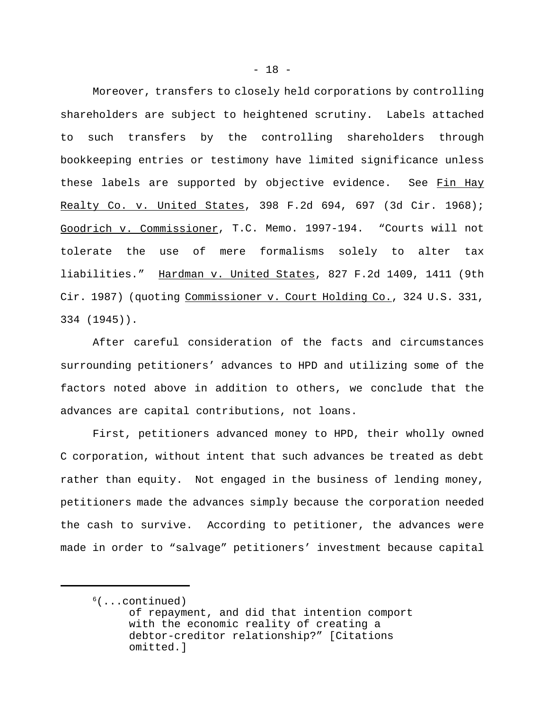Moreover, transfers to closely held corporations by controlling shareholders are subject to heightened scrutiny. Labels attached to such transfers by the controlling shareholders through bookkeeping entries or testimony have limited significance unless these labels are supported by objective evidence. See Fin Hay Realty Co. v. United States, 398 F.2d 694, 697 (3d Cir. 1968); Goodrich v. Commissioner, T.C. Memo. 1997-194. "Courts will not tolerate the use of mere formalisms solely to alter tax liabilities." Hardman v. United States, 827 F.2d 1409, 1411 (9th Cir. 1987) (quoting Commissioner v. Court Holding Co., 324 U.S. 331, 334 (1945)).

After careful consideration of the facts and circumstances surrounding petitioners' advances to HPD and utilizing some of the factors noted above in addition to others, we conclude that the advances are capital contributions, not loans.

First, petitioners advanced money to HPD, their wholly owned C corporation, without intent that such advances be treated as debt rather than equity. Not engaged in the business of lending money, petitioners made the advances simply because the corporation needed the cash to survive. According to petitioner, the advances were made in order to "salvage" petitioners' investment because capital

 $<sup>6</sup>(...continued)$ </sup> of repayment, and did that intention comport with the economic reality of creating a debtor-creditor relationship?" [Citations omitted.]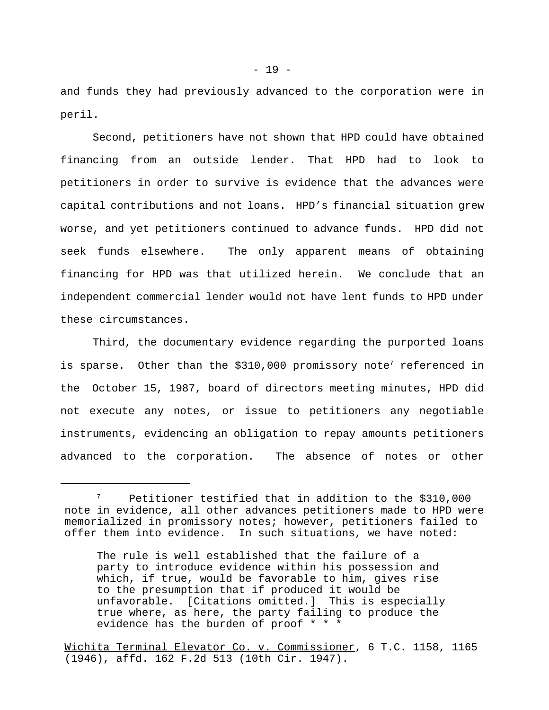and funds they had previously advanced to the corporation were in peril.

Second, petitioners have not shown that HPD could have obtained financing from an outside lender. That HPD had to look to petitioners in order to survive is evidence that the advances were capital contributions and not loans. HPD's financial situation grew worse, and yet petitioners continued to advance funds. HPD did not seek funds elsewhere. The only apparent means of obtaining financing for HPD was that utilized herein. We conclude that an independent commercial lender would not have lent funds to HPD under these circumstances.

Third, the documentary evidence regarding the purported loans is sparse. Other than the \$310,000 promissory note<sup>7</sup> referenced in the October 15, 1987, board of directors meeting minutes, HPD did not execute any notes, or issue to petitioners any negotiable instruments, evidencing an obligation to repay amounts petitioners advanced to the corporation. The absence of notes or other

Petitioner testified that in addition to the \$310,000 note in evidence, all other advances petitioners made to HPD were memorialized in promissory notes; however, petitioners failed to offer them into evidence. In such situations, we have noted:

The rule is well established that the failure of a party to introduce evidence within his possession and which, if true, would be favorable to him, gives rise to the presumption that if produced it would be unfavorable. [Citations omitted.] This is especially true where, as here, the party failing to produce the evidence has the burden of proof \* \* \*

Wichita Terminal Elevator Co. v. Commissioner, 6 T.C. 1158, 1165 (1946), affd. 162 F.2d 513 (10th Cir. 1947).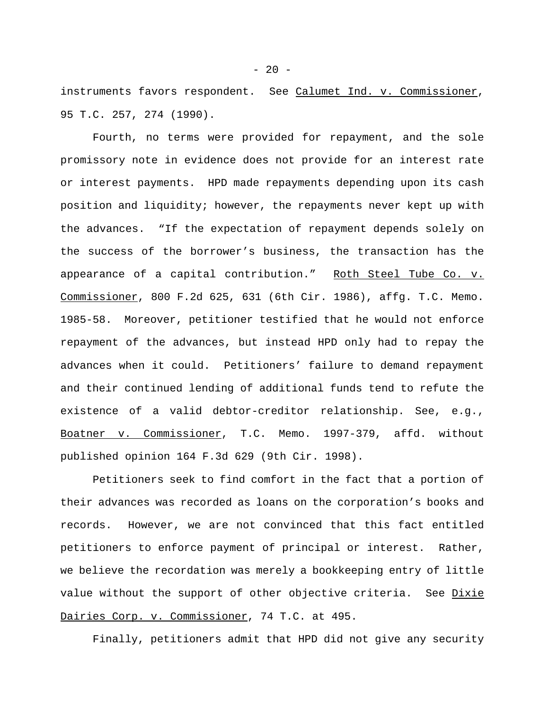instruments favors respondent. See Calumet Ind. v. Commissioner, 95 T.C. 257, 274 (1990).

Fourth, no terms were provided for repayment, and the sole promissory note in evidence does not provide for an interest rate or interest payments. HPD made repayments depending upon its cash position and liquidity; however, the repayments never kept up with the advances. "If the expectation of repayment depends solely on the success of the borrower's business, the transaction has the appearance of a capital contribution." Roth Steel Tube Co. v. Commissioner, 800 F.2d 625, 631 (6th Cir. 1986), affg. T.C. Memo. 1985-58. Moreover, petitioner testified that he would not enforce repayment of the advances, but instead HPD only had to repay the advances when it could. Petitioners' failure to demand repayment and their continued lending of additional funds tend to refute the existence of a valid debtor-creditor relationship. See, e.g., Boatner v. Commissioner, T.C. Memo. 1997-379, affd. without published opinion 164 F.3d 629 (9th Cir. 1998).

Petitioners seek to find comfort in the fact that a portion of their advances was recorded as loans on the corporation's books and records. However, we are not convinced that this fact entitled petitioners to enforce payment of principal or interest. Rather, we believe the recordation was merely a bookkeeping entry of little value without the support of other objective criteria. See Dixie Dairies Corp. v. Commissioner, 74 T.C. at 495.

Finally, petitioners admit that HPD did not give any security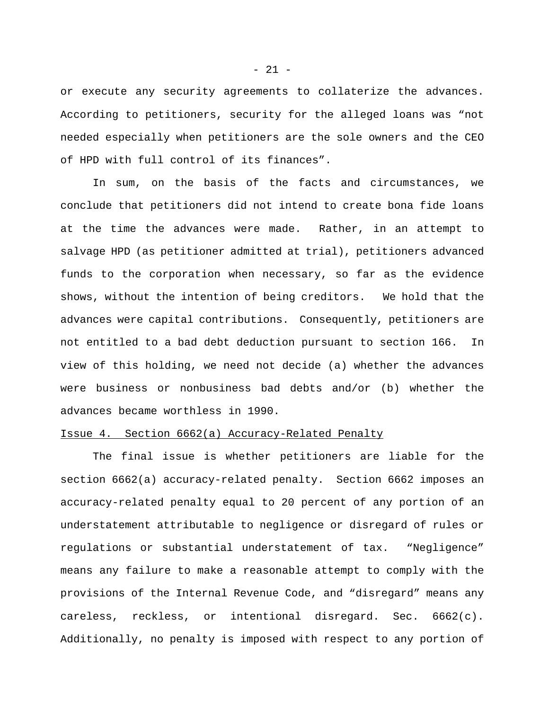or execute any security agreements to collaterize the advances. According to petitioners, security for the alleged loans was "not needed especially when petitioners are the sole owners and the CEO of HPD with full control of its finances".

In sum, on the basis of the facts and circumstances, we conclude that petitioners did not intend to create bona fide loans at the time the advances were made. Rather, in an attempt to salvage HPD (as petitioner admitted at trial), petitioners advanced funds to the corporation when necessary, so far as the evidence shows, without the intention of being creditors. We hold that the advances were capital contributions. Consequently, petitioners are not entitled to a bad debt deduction pursuant to section 166. In view of this holding, we need not decide (a) whether the advances were business or nonbusiness bad debts and/or (b) whether the advances became worthless in 1990.

## Issue 4. Section 6662(a) Accuracy-Related Penalty

The final issue is whether petitioners are liable for the section 6662(a) accuracy-related penalty. Section 6662 imposes an accuracy-related penalty equal to 20 percent of any portion of an understatement attributable to negligence or disregard of rules or regulations or substantial understatement of tax. "Negligence" means any failure to make a reasonable attempt to comply with the provisions of the Internal Revenue Code, and "disregard" means any careless, reckless, or intentional disregard. Sec. 6662(c). Additionally, no penalty is imposed with respect to any portion of

- 21 -